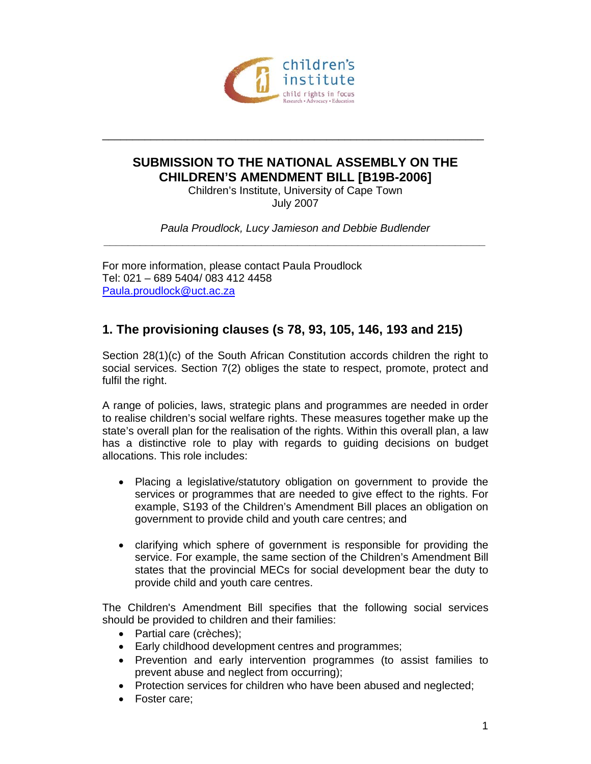

## **SUBMISSION TO THE NATIONAL ASSEMBLY ON THE CHILDREN'S AMENDMENT BILL [B19B-2006]**

\_\_\_\_\_\_\_\_\_\_\_\_\_\_\_\_\_\_\_\_\_\_\_\_\_\_\_\_\_\_\_\_\_\_\_\_\_\_\_\_\_\_\_\_\_\_\_\_\_\_\_\_\_\_\_\_\_\_\_\_\_\_\_

Children's Institute, University of Cape Town July 2007

*Paula Proudlock, Lucy Jamieson and Debbie Budlender \_\_\_\_\_\_\_\_\_\_\_\_\_\_\_\_\_\_\_\_\_\_\_\_\_\_\_\_\_\_\_\_\_\_\_\_\_\_\_\_\_\_\_\_\_\_\_\_\_\_\_\_\_\_\_\_\_\_\_\_\_\_\_* 

For more information, please contact Paula Proudlock Tel: 021 – 689 5404/ 083 412 4458 Paula.proudlock@uct.ac.za

# **1. The provisioning clauses (s 78, 93, 105, 146, 193 and 215)**

Section 28(1)(c) of the South African Constitution accords children the right to social services. Section 7(2) obliges the state to respect, promote, protect and fulfil the right.

A range of policies, laws, strategic plans and programmes are needed in order to realise children's social welfare rights. These measures together make up the state's overall plan for the realisation of the rights. Within this overall plan, a law has a distinctive role to play with regards to guiding decisions on budget allocations. This role includes:

- Placing a legislative/statutory obligation on government to provide the services or programmes that are needed to give effect to the rights. For example, S193 of the Children's Amendment Bill places an obligation on government to provide child and youth care centres; and
- clarifying which sphere of government is responsible for providing the service. For example, the same section of the Children's Amendment Bill states that the provincial MECs for social development bear the duty to provide child and youth care centres.

The Children's Amendment Bill specifies that the following social services should be provided to children and their families:

- Partial care (crèches);
- Early childhood development centres and programmes;
- Prevention and early intervention programmes (to assist families to prevent abuse and neglect from occurring);
- Protection services for children who have been abused and neglected;
- Foster care;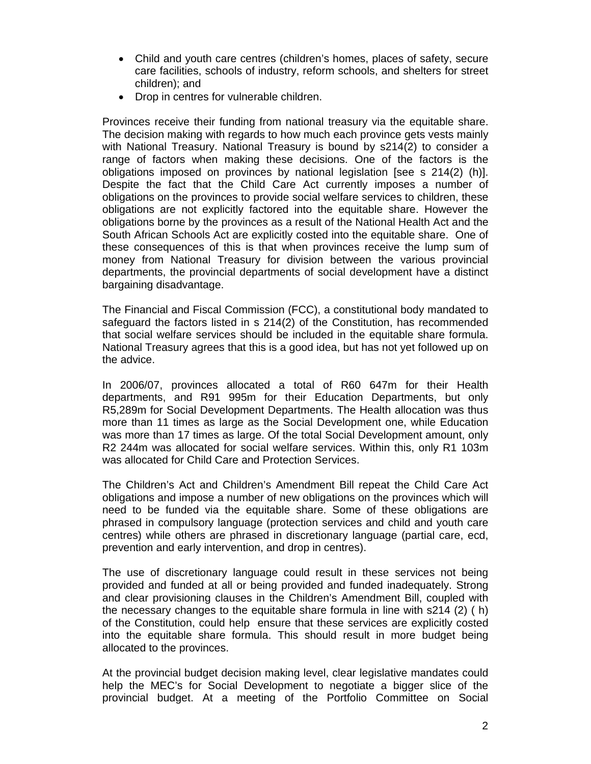- Child and youth care centres (children's homes, places of safety, secure care facilities, schools of industry, reform schools, and shelters for street children); and
- Drop in centres for vulnerable children.

Provinces receive their funding from national treasury via the equitable share. The decision making with regards to how much each province gets vests mainly with National Treasury. National Treasury is bound by s214(2) to consider a range of factors when making these decisions. One of the factors is the obligations imposed on provinces by national legislation [see s 214(2) (h)]. Despite the fact that the Child Care Act currently imposes a number of obligations on the provinces to provide social welfare services to children, these obligations are not explicitly factored into the equitable share. However the obligations borne by the provinces as a result of the National Health Act and the South African Schools Act are explicitly costed into the equitable share. One of these consequences of this is that when provinces receive the lump sum of money from National Treasury for division between the various provincial departments, the provincial departments of social development have a distinct bargaining disadvantage.

The Financial and Fiscal Commission (FCC), a constitutional body mandated to safeguard the factors listed in s 214(2) of the Constitution, has recommended that social welfare services should be included in the equitable share formula. National Treasury agrees that this is a good idea, but has not yet followed up on the advice.

In 2006/07, provinces allocated a total of R60 647m for their Health departments, and R91 995m for their Education Departments, but only R5,289m for Social Development Departments. The Health allocation was thus more than 11 times as large as the Social Development one, while Education was more than 17 times as large. Of the total Social Development amount, only R2 244m was allocated for social welfare services. Within this, only R1 103m was allocated for Child Care and Protection Services.

The Children's Act and Children's Amendment Bill repeat the Child Care Act obligations and impose a number of new obligations on the provinces which will need to be funded via the equitable share. Some of these obligations are phrased in compulsory language (protection services and child and youth care centres) while others are phrased in discretionary language (partial care, ecd, prevention and early intervention, and drop in centres).

The use of discretionary language could result in these services not being provided and funded at all or being provided and funded inadequately. Strong and clear provisioning clauses in the Children's Amendment Bill, coupled with the necessary changes to the equitable share formula in line with s214 (2) ( h) of the Constitution, could help ensure that these services are explicitly costed into the equitable share formula. This should result in more budget being allocated to the provinces.

At the provincial budget decision making level, clear legislative mandates could help the MEC's for Social Development to negotiate a bigger slice of the provincial budget. At a meeting of the Portfolio Committee on Social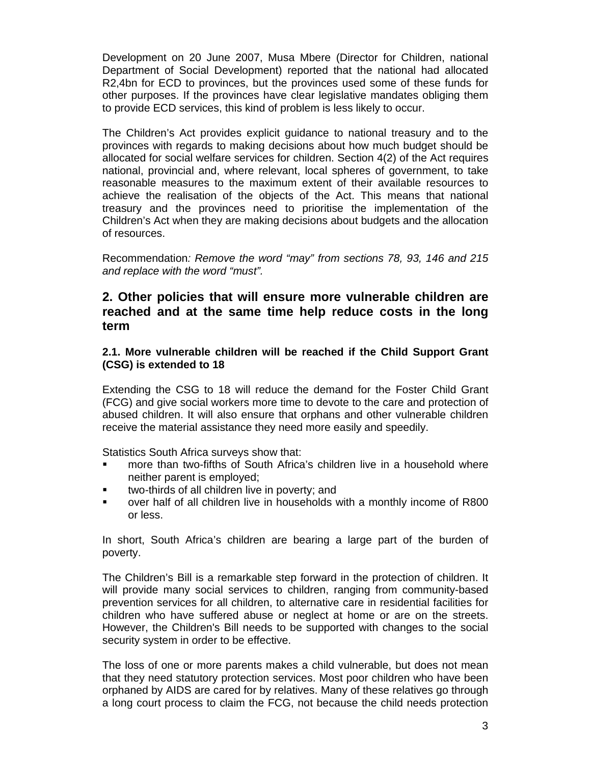Development on 20 June 2007, Musa Mbere (Director for Children, national Department of Social Development) reported that the national had allocated R2,4bn for ECD to provinces, but the provinces used some of these funds for other purposes. If the provinces have clear legislative mandates obliging them to provide ECD services, this kind of problem is less likely to occur.

The Children's Act provides explicit guidance to national treasury and to the provinces with regards to making decisions about how much budget should be allocated for social welfare services for children. Section 4(2) of the Act requires national, provincial and, where relevant, local spheres of government, to take reasonable measures to the maximum extent of their available resources to achieve the realisation of the objects of the Act. This means that national treasury and the provinces need to prioritise the implementation of the Children's Act when they are making decisions about budgets and the allocation of resources.

Recommendation*: Remove the word "may" from sections 78, 93, 146 and 215 and replace with the word "must".* 

## **2. Other policies that will ensure more vulnerable children are reached and at the same time help reduce costs in the long term**

#### **2.1. More vulnerable children will be reached if the Child Support Grant (CSG) is extended to 18**

Extending the CSG to 18 will reduce the demand for the Foster Child Grant (FCG) and give social workers more time to devote to the care and protection of abused children. It will also ensure that orphans and other vulnerable children receive the material assistance they need more easily and speedily.

Statistics South Africa surveys show that:

- more than two-fifths of South Africa's children live in a household where neither parent is employed;
- two-thirds of all children live in poverty; and
- over half of all children live in households with a monthly income of R800 or less.

In short, South Africa's children are bearing a large part of the burden of poverty.

The Children's Bill is a remarkable step forward in the protection of children. It will provide many social services to children, ranging from community-based prevention services for all children, to alternative care in residential facilities for children who have suffered abuse or neglect at home or are on the streets. However, the Children's Bill needs to be supported with changes to the social security system in order to be effective.

The loss of one or more parents makes a child vulnerable, but does not mean that they need statutory protection services. Most poor children who have been orphaned by AIDS are cared for by relatives. Many of these relatives go through a long court process to claim the FCG, not because the child needs protection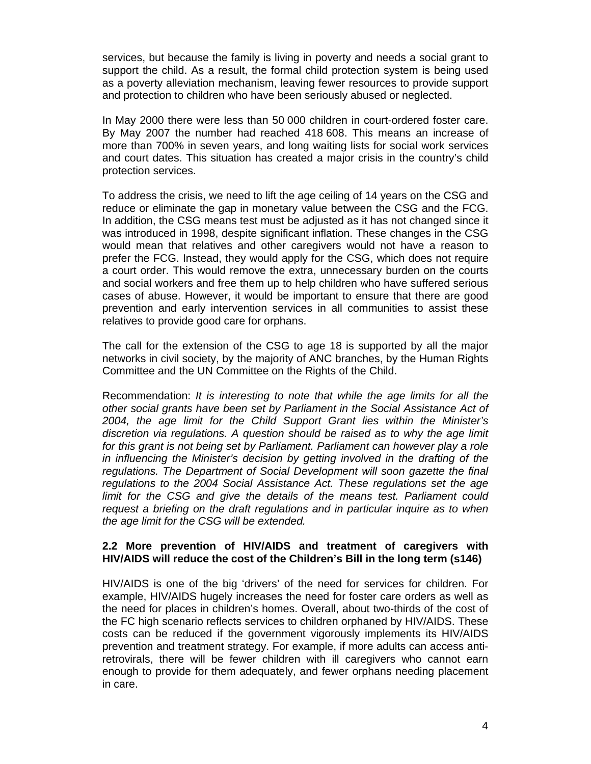services, but because the family is living in poverty and needs a social grant to support the child. As a result, the formal child protection system is being used as a poverty alleviation mechanism, leaving fewer resources to provide support and protection to children who have been seriously abused or neglected.

In May 2000 there were less than 50 000 children in court-ordered foster care. By May 2007 the number had reached 418 608. This means an increase of more than 700% in seven years, and long waiting lists for social work services and court dates. This situation has created a major crisis in the country's child protection services.

To address the crisis, we need to lift the age ceiling of 14 years on the CSG and reduce or eliminate the gap in monetary value between the CSG and the FCG. In addition, the CSG means test must be adjusted as it has not changed since it was introduced in 1998, despite significant inflation. These changes in the CSG would mean that relatives and other caregivers would not have a reason to prefer the FCG. Instead, they would apply for the CSG, which does not require a court order. This would remove the extra, unnecessary burden on the courts and social workers and free them up to help children who have suffered serious cases of abuse. However, it would be important to ensure that there are good prevention and early intervention services in all communities to assist these relatives to provide good care for orphans.

The call for the extension of the CSG to age 18 is supported by all the major networks in civil society, by the majority of ANC branches, by the Human Rights Committee and the UN Committee on the Rights of the Child.

Recommendation: *It is interesting to note that while the age limits for all the other social grants have been set by Parliament in the Social Assistance Act of 2004, the age limit for the Child Support Grant lies within the Minister's discretion via regulations. A question should be raised as to why the age limit for this grant is not being set by Parliament. Parliament can however play a role in influencing the Minister's decision by getting involved in the drafting of the regulations. The Department of Social Development will soon gazette the final regulations to the 2004 Social Assistance Act. These regulations set the age limit for the CSG and give the details of the means test. Parliament could request a briefing on the draft regulations and in particular inquire as to when the age limit for the CSG will be extended.* 

#### **2.2 More prevention of HIV/AIDS and treatment of caregivers with HIV/AIDS will reduce the cost of the Children's Bill in the long term (s146)**

HIV/AIDS is one of the big 'drivers' of the need for services for children. For example, HIV/AIDS hugely increases the need for foster care orders as well as the need for places in children's homes. Overall, about two-thirds of the cost of the FC high scenario reflects services to children orphaned by HIV/AIDS. These costs can be reduced if the government vigorously implements its HIV/AIDS prevention and treatment strategy. For example, if more adults can access antiretrovirals, there will be fewer children with ill caregivers who cannot earn enough to provide for them adequately, and fewer orphans needing placement in care.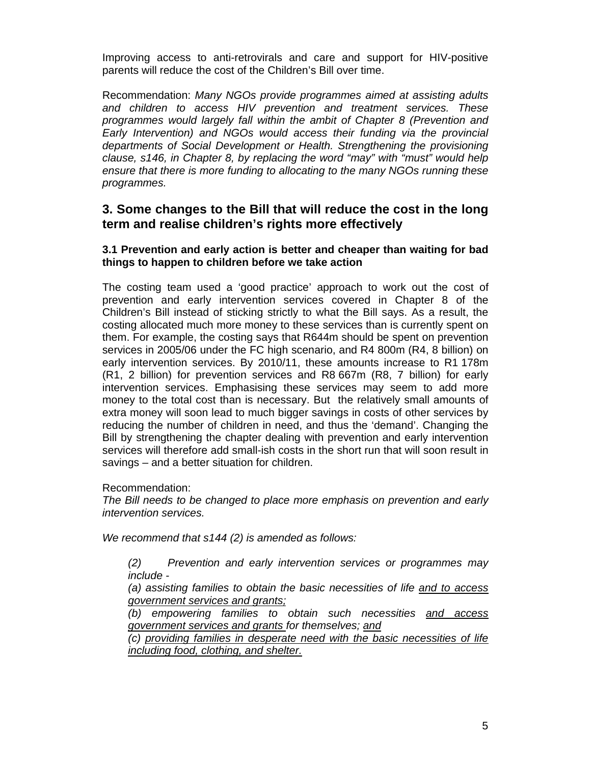Improving access to anti-retrovirals and care and support for HIV-positive parents will reduce the cost of the Children's Bill over time.

Recommendation: *Many NGOs provide programmes aimed at assisting adults and children to access HIV prevention and treatment services. These programmes would largely fall within the ambit of Chapter 8 (Prevention and Early Intervention) and NGOs would access their funding via the provincial departments of Social Development or Health. Strengthening the provisioning clause, s146, in Chapter 8, by replacing the word "may" with "must" would help ensure that there is more funding to allocating to the many NGOs running these programmes.* 

### **3. Some changes to the Bill that will reduce the cost in the long term and realise children's rights more effectively**

#### **3.1 Prevention and early action is better and cheaper than waiting for bad things to happen to children before we take action**

The costing team used a 'good practice' approach to work out the cost of prevention and early intervention services covered in Chapter 8 of the Children's Bill instead of sticking strictly to what the Bill says. As a result, the costing allocated much more money to these services than is currently spent on them. For example, the costing says that R644m should be spent on prevention services in 2005/06 under the FC high scenario, and R4 800m (R4, 8 billion) on early intervention services. By 2010/11, these amounts increase to R1 178m (R1, 2 billion) for prevention services and R8 667m (R8, 7 billion) for early intervention services. Emphasising these services may seem to add more money to the total cost than is necessary. But the relatively small amounts of extra money will soon lead to much bigger savings in costs of other services by reducing the number of children in need, and thus the 'demand'. Changing the Bill by strengthening the chapter dealing with prevention and early intervention services will therefore add small-ish costs in the short run that will soon result in savings – and a better situation for children.

Recommendation:

*The Bill needs to be changed to place more emphasis on prevention and early intervention services.* 

*We recommend that s144 (2) is amended as follows:* 

*(2) Prevention and early intervention services or programmes may include -* 

*(a) assisting families to obtain the basic necessities of life and to access government services and grants;*

*(b) empowering families to obtain such necessities and access government services and grants for themselves; and*

*(c) providing families in desperate need with the basic necessities of life including food, clothing, and shelter.*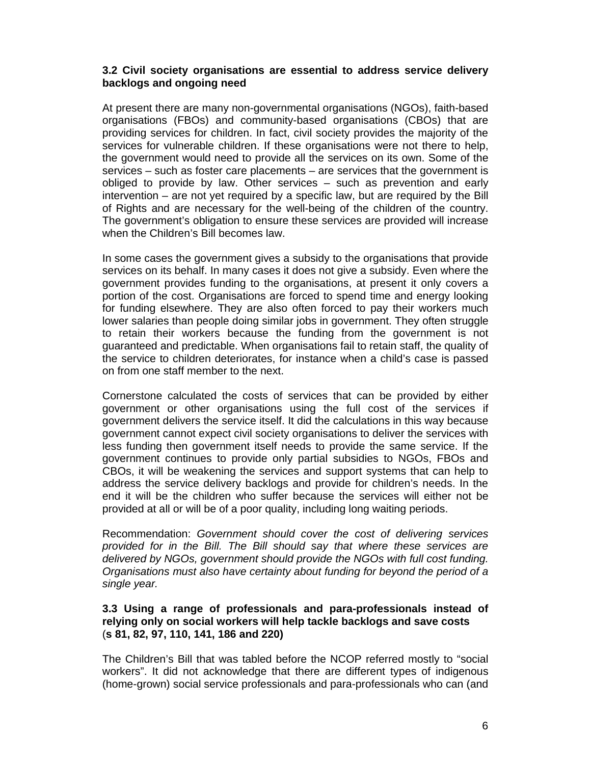#### **3.2 Civil society organisations are essential to address service delivery backlogs and ongoing need**

At present there are many non-governmental organisations (NGOs), faith-based organisations (FBOs) and community-based organisations (CBOs) that are providing services for children. In fact, civil society provides the majority of the services for vulnerable children. If these organisations were not there to help, the government would need to provide all the services on its own. Some of the services – such as foster care placements – are services that the government is obliged to provide by law. Other services – such as prevention and early intervention – are not yet required by a specific law, but are required by the Bill of Rights and are necessary for the well-being of the children of the country. The government's obligation to ensure these services are provided will increase when the Children's Bill becomes law.

In some cases the government gives a subsidy to the organisations that provide services on its behalf. In many cases it does not give a subsidy. Even where the government provides funding to the organisations, at present it only covers a portion of the cost. Organisations are forced to spend time and energy looking for funding elsewhere. They are also often forced to pay their workers much lower salaries than people doing similar jobs in government. They often struggle to retain their workers because the funding from the government is not guaranteed and predictable. When organisations fail to retain staff, the quality of the service to children deteriorates, for instance when a child's case is passed on from one staff member to the next.

Cornerstone calculated the costs of services that can be provided by either government or other organisations using the full cost of the services if government delivers the service itself. It did the calculations in this way because government cannot expect civil society organisations to deliver the services with less funding then government itself needs to provide the same service. If the government continues to provide only partial subsidies to NGOs, FBOs and CBOs, it will be weakening the services and support systems that can help to address the service delivery backlogs and provide for children's needs. In the end it will be the children who suffer because the services will either not be provided at all or will be of a poor quality, including long waiting periods.

Recommendation: *Government should cover the cost of delivering services provided for in the Bill. The Bill should say that where these services are delivered by NGOs, government should provide the NGOs with full cost funding. Organisations must also have certainty about funding for beyond the period of a single year.* 

#### **3.3 Using a range of professionals and para-professionals instead of relying only on social workers will help tackle backlogs and save costs**  (**s 81, 82, 97, 110, 141, 186 and 220)**

The Children's Bill that was tabled before the NCOP referred mostly to "social workers". It did not acknowledge that there are different types of indigenous (home-grown) social service professionals and para-professionals who can (and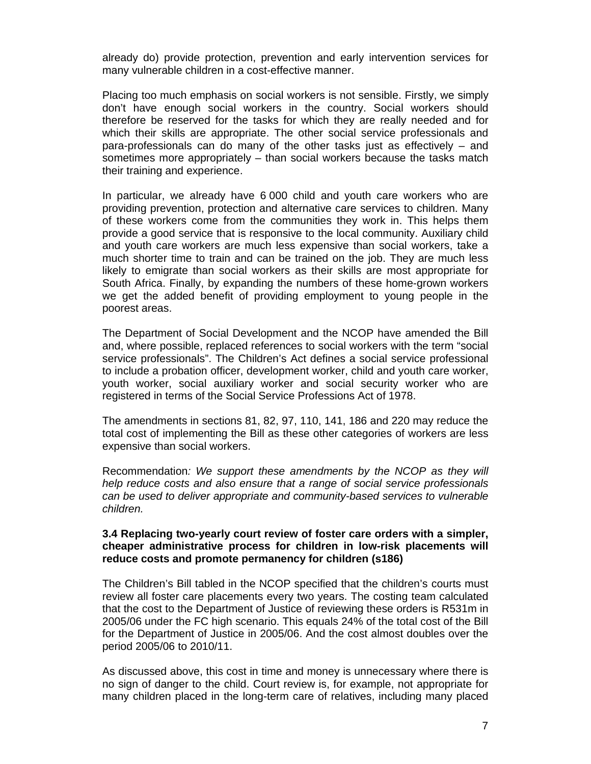already do) provide protection, prevention and early intervention services for many vulnerable children in a cost-effective manner.

Placing too much emphasis on social workers is not sensible. Firstly, we simply don't have enough social workers in the country. Social workers should therefore be reserved for the tasks for which they are really needed and for which their skills are appropriate. The other social service professionals and para-professionals can do many of the other tasks just as effectively – and sometimes more appropriately – than social workers because the tasks match their training and experience.

In particular, we already have 6 000 child and youth care workers who are providing prevention, protection and alternative care services to children. Many of these workers come from the communities they work in. This helps them provide a good service that is responsive to the local community. Auxiliary child and youth care workers are much less expensive than social workers, take a much shorter time to train and can be trained on the job. They are much less likely to emigrate than social workers as their skills are most appropriate for South Africa. Finally, by expanding the numbers of these home-grown workers we get the added benefit of providing employment to young people in the poorest areas.

The Department of Social Development and the NCOP have amended the Bill and, where possible, replaced references to social workers with the term "social service professionals". The Children's Act defines a social service professional to include a probation officer, development worker, child and youth care worker, youth worker, social auxiliary worker and social security worker who are registered in terms of the Social Service Professions Act of 1978.

The amendments in sections 81, 82, 97, 110, 141, 186 and 220 may reduce the total cost of implementing the Bill as these other categories of workers are less expensive than social workers.

Recommendation*: We support these amendments by the NCOP as they will help reduce costs and also ensure that a range of social service professionals can be used to deliver appropriate and community-based services to vulnerable children.* 

#### **3.4 Replacing two-yearly court review of foster care orders with a simpler, cheaper administrative process for children in low-risk placements will reduce costs and promote permanency for children (s186)**

The Children's Bill tabled in the NCOP specified that the children's courts must review all foster care placements every two years. The costing team calculated that the cost to the Department of Justice of reviewing these orders is R531m in 2005/06 under the FC high scenario. This equals 24% of the total cost of the Bill for the Department of Justice in 2005/06. And the cost almost doubles over the period 2005/06 to 2010/11.

As discussed above, this cost in time and money is unnecessary where there is no sign of danger to the child. Court review is, for example, not appropriate for many children placed in the long-term care of relatives, including many placed